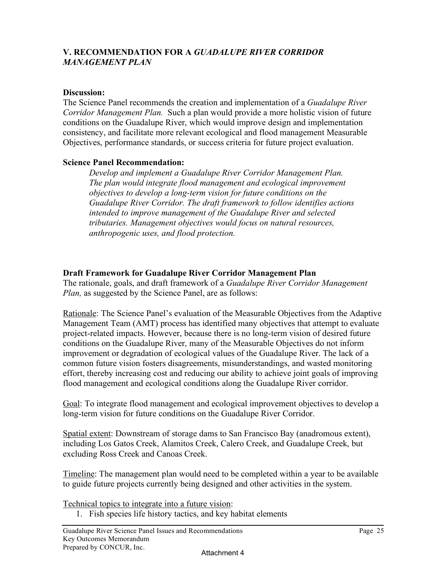## **V. RECOMMENDATION FOR A** *GUADALUPE RIVER CORRIDOR MANAGEMENT PLAN*

## **Discussion:**

The Science Panel recommends the creation and implementation of a *Guadalupe River Corridor Management Plan.* Such a plan would provide a more holistic vision of future conditions on the Guadalupe River, which would improve design and implementation consistency, and facilitate more relevant ecological and flood management Measurable Objectives, performance standards, or success criteria for future project evaluation.

## **Science Panel Recommendation:**

*Develop and implement a Guadalupe River Corridor Management Plan. The plan would integrate flood management and ecological improvement objectives to develop a long-term vision for future conditions on the Guadalupe River Corridor. The draft framework to follow identifies actions intended to improve management of the Guadalupe River and selected tributaries. Management objectives would focus on natural resources, anthropogenic uses, and flood protection.*

## **Draft Framework for Guadalupe River Corridor Management Plan**

The rationale, goals, and draft framework of a *Guadalupe River Corridor Management Plan,* as suggested by the Science Panel, are as follows:

Rationale: The Science Panel's evaluation of the Measurable Objectives from the Adaptive Management Team (AMT) process has identified many objectives that attempt to evaluate project-related impacts. However, because there is no long-term vision of desired future conditions on the Guadalupe River, many of the Measurable Objectives do not inform improvement or degradation of ecological values of the Guadalupe River. The lack of a common future vision fosters disagreements, misunderstandings, and wasted monitoring effort, thereby increasing cost and reducing our ability to achieve joint goals of improving flood management and ecological conditions along the Guadalupe River corridor.

Goal: To integrate flood management and ecological improvement objectives to develop a long-term vision for future conditions on the Guadalupe River Corridor.

Spatial extent: Downstream of storage dams to San Francisco Bay (anadromous extent), including Los Gatos Creek, Alamitos Creek, Calero Creek, and Guadalupe Creek, but excluding Ross Creek and Canoas Creek.

Timeline: The management plan would need to be completed within a year to be available to guide future projects currently being designed and other activities in the system.

Technical topics to integrate into a future vision:

1. Fish species life history tactics, and key habitat elements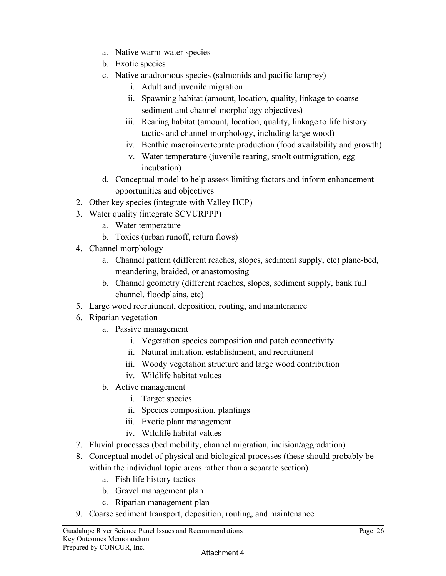- a. Native warm-water species
- b. Exotic species
- c. Native anadromous species (salmonids and pacific lamprey)
	- i. Adult and juvenile migration
	- ii. Spawning habitat (amount, location, quality, linkage to coarse sediment and channel morphology objectives)
	- iii. Rearing habitat (amount, location, quality, linkage to life history tactics and channel morphology, including large wood)
	- iv. Benthic macroinvertebrate production (food availability and growth)
	- v. Water temperature (juvenile rearing, smolt outmigration, egg incubation)
- d. Conceptual model to help assess limiting factors and inform enhancement opportunities and objectives
- 2. Other key species (integrate with Valley HCP)
- 3. Water quality (integrate SCVURPPP)
	- a. Water temperature
	- b. Toxics (urban runoff, return flows)
- 4. Channel morphology
	- a. Channel pattern (different reaches, slopes, sediment supply, etc) plane-bed, meandering, braided, or anastomosing
	- b. Channel geometry (different reaches, slopes, sediment supply, bank full channel, floodplains, etc)
- 5. Large wood recruitment, deposition, routing, and maintenance
- 6. Riparian vegetation
	- a. Passive management
		- i. Vegetation species composition and patch connectivity
		- ii. Natural initiation, establishment, and recruitment
		- iii. Woody vegetation structure and large wood contribution
		- iv. Wildlife habitat values
	- b. Active management
		- i. Target species
		- ii. Species composition, plantings
		- iii. Exotic plant management
		- iv. Wildlife habitat values
- 7. Fluvial processes (bed mobility, channel migration, incision/aggradation)
- 8. Conceptual model of physical and biological processes (these should probably be within the individual topic areas rather than a separate section)
	- a. Fish life history tactics
	- b. Gravel management plan
	- c. Riparian management plan
- 9. Coarse sediment transport, deposition, routing, and maintenance